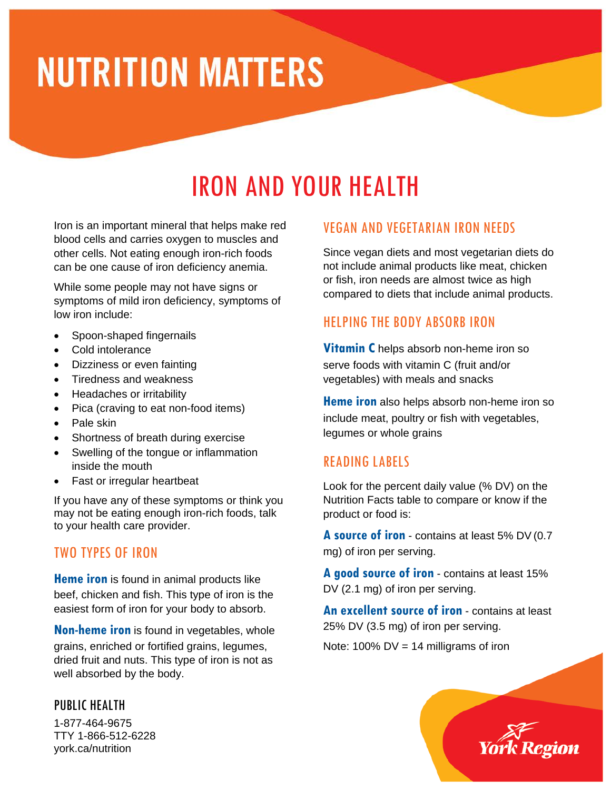# **NUTRITION MATTERS**

# IRON AND YOUR HEALTH

Iron is an important mineral that helps make red blood cells and carries oxygen to muscles and other cells. Not eating enough iron-rich foods can be one cause of iron deficiency anemia.

While some people may not have signs or symptoms of mild iron deficiency, symptoms of low iron include:

- Spoon-shaped fingernails
- Cold intolerance
- Dizziness or even fainting
- Tiredness and weakness
- Headaches or irritability
- Pica (craving to eat non-food items)
- Pale skin
- Shortness of breath during exercise
- Swelling of the tongue or inflammation inside the mouth
- Fast or irregular heartbeat

If you have any of these symptoms or think you may not be eating enough iron-rich foods, talk to your health care provider.

# TWO TYPES OF IRON

**Heme iron** is found in animal products like beef, chicken and fish. This type of iron is the easiest form of iron for your body to absorb.

**Non-heme iron** is found in vegetables, whole grains, enriched or fortified grains, legumes, dried fruit and nuts. This type of iron is not as well absorbed by the body.

#### PUBLIC HEALTH

1-877-464-9675 TTY 1-866-512-6228 york.ca/nutrition

## VEGAN AND VEGETARIAN IRON NEEDS

Since vegan diets and most vegetarian diets do not include animal products like meat, chicken or fish, iron needs are almost twice as high compared to diets that include animal products.

# HELPING THE BODY ABSORB IRON

**Vitamin C** helps absorb non-heme iron so serve foods with vitamin C (fruit and/or vegetables) with meals and snacks

**Heme iron** also helps absorb non-heme iron so include meat, poultry or fish with vegetables, legumes or whole grains

# READING LABELS

Look for the percent daily value (% DV) on the Nutrition Facts table to compare or know if the product or food is:

**A source of iron** - contains at least 5% DV (0.7 mg) of iron per serving.

**A good source of iron** - contains at least 15% DV (2.1 mg) of iron per serving.

**An excellent source of iron** - contains at least 25% DV (3.5 mg) of iron per serving.

Note:  $100\%$  DV = 14 milligrams of iron